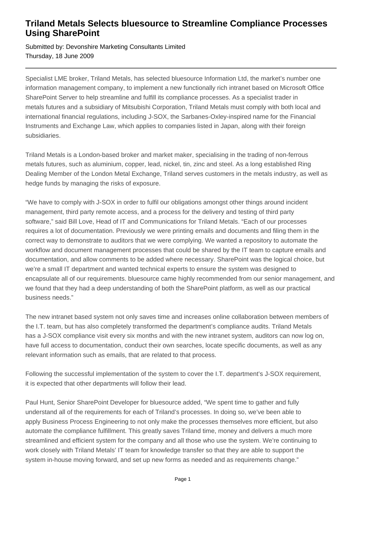## **Triland Metals Selects bluesource to Streamline Compliance Processes Using SharePoint**

Submitted by: Devonshire Marketing Consultants Limited Thursday, 18 June 2009

Specialist LME broker, Triland Metals, has selected bluesource Information Ltd, the market's number one information management company, to implement a new functionally rich intranet based on Microsoft Office SharePoint Server to help streamline and fulfill its compliance processes. As a specialist trader in metals futures and a subsidiary of Mitsubishi Corporation, Triland Metals must comply with both local and international financial regulations, including J-SOX, the Sarbanes-Oxley-inspired name for the Financial Instruments and Exchange Law, which applies to companies listed in Japan, along with their foreign subsidiaries.

Triland Metals is a London-based broker and market maker, specialising in the trading of non-ferrous metals futures, such as aluminium, copper, lead, nickel, tin, zinc and steel. As a long established Ring Dealing Member of the London Metal Exchange, Triland serves customers in the metals industry, as well as hedge funds by managing the risks of exposure.

"We have to comply with J-SOX in order to fulfil our obligations amongst other things around incident management, third party remote access, and a process for the delivery and testing of third party software," said Bill Love, Head of IT and Communications for Triland Metals. "Each of our processes requires a lot of documentation. Previously we were printing emails and documents and filing them in the correct way to demonstrate to auditors that we were complying. We wanted a repository to automate the workflow and document management processes that could be shared by the IT team to capture emails and documentation, and allow comments to be added where necessary. SharePoint was the logical choice, but we're a small IT department and wanted technical experts to ensure the system was designed to encapsulate all of our requirements. bluesource came highly recommended from our senior management, and we found that they had a deep understanding of both the SharePoint platform, as well as our practical business needs."

The new intranet based system not only saves time and increases online collaboration between members of the I.T. team, but has also completely transformed the department's compliance audits. Triland Metals has a J-SOX compliance visit every six months and with the new intranet system, auditors can now log on, have full access to documentation, conduct their own searches, locate specific documents, as well as any relevant information such as emails, that are related to that process.

Following the successful implementation of the system to cover the I.T. department's J-SOX requirement, it is expected that other departments will follow their lead.

Paul Hunt, Senior SharePoint Developer for bluesource added, "We spent time to gather and fully understand all of the requirements for each of Triland's processes. In doing so, we've been able to apply Business Process Engineering to not only make the processes themselves more efficient, but also automate the compliance fulfillment. This greatly saves Triland time, money and delivers a much more streamlined and efficient system for the company and all those who use the system. We're continuing to work closely with Triland Metals' IT team for knowledge transfer so that they are able to support the system in-house moving forward, and set up new forms as needed and as requirements change."